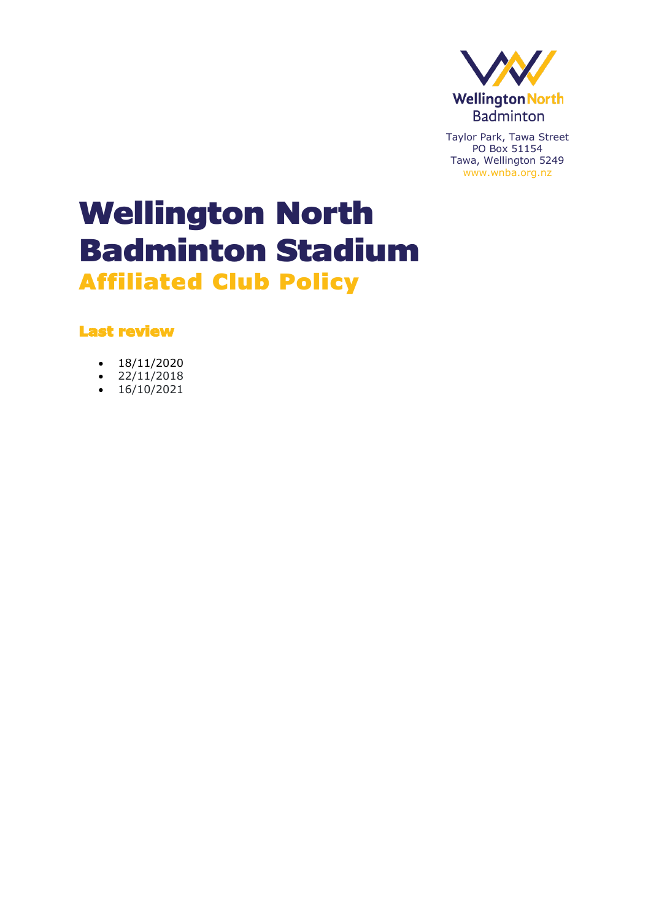

# Wellington North Badminton Stadium Affiliated Club Policy

Last review

- $\cdot$  18/11/2020
- $22/11/2018$
- $16/10/2021$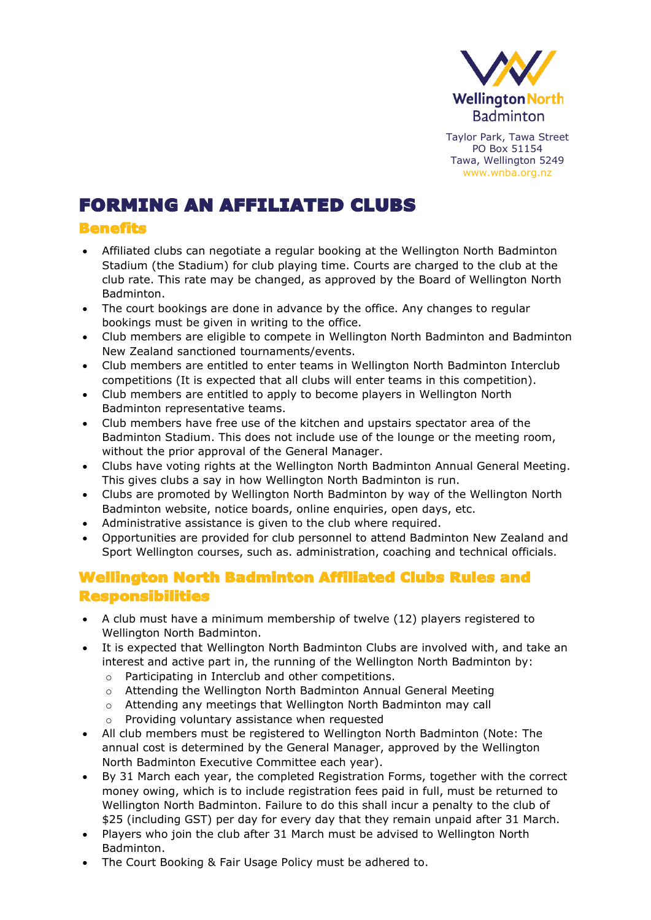

# FORMING AN AFFILIATED CLUBS

#### Benefits

- Affiliated clubs can negotiate a regular booking at the Wellington North Badminton Stadium (the Stadium) for club playing time. Courts are charged to the club at the club rate. This rate may be changed, as approved by the Board of Wellington North Badminton.
- The court bookings are done in advance by the office. Any changes to regular bookings must be given in writing to the office.
- Club members are eligible to compete in Wellington North Badminton and Badminton New Zealand sanctioned tournaments/events.
- Club members are entitled to enter teams in Wellington North Badminton Interclub competitions (It is expected that all clubs will enter teams in this competition).
- Club members are entitled to apply to become players in Wellington North Badminton representative teams.
- Club members have free use of the kitchen and upstairs spectator area of the Badminton Stadium. This does not include use of the lounge or the meeting room, without the prior approval of the General Manager.
- Clubs have voting rights at the Wellington North Badminton Annual General Meeting. This gives clubs a say in how Wellington North Badminton is run.
- Clubs are promoted by Wellington North Badminton by way of the Wellington North Badminton website, notice boards, online enquiries, open days, etc.
- Administrative assistance is given to the club where required.
- Opportunities are provided for club personnel to attend Badminton New Zealand and Sport Wellington courses, such as. administration, coaching and technical officials.

## Wellington North Badminton Affiliated Clubs Rules and Responsibilities

- A club must have a minimum membership of twelve (12) players registered to Wellington North Badminton.
- It is expected that Wellington North Badminton Clubs are involved with, and take an interest and active part in, the running of the Wellington North Badminton by:
	- o Participating in Interclub and other competitions.
	- o Attending the Wellington North Badminton Annual General Meeting
	- o Attending any meetings that Wellington North Badminton may call
	- o Providing voluntary assistance when requested
- All club members must be registered to Wellington North Badminton (Note: The annual cost is determined by the General Manager, approved by the Wellington North Badminton Executive Committee each year).
- By 31 March each year, the completed Registration Forms, together with the correct money owing, which is to include registration fees paid in full, must be returned to Wellington North Badminton. Failure to do this shall incur a penalty to the club of \$25 (including GST) per day for every day that they remain unpaid after 31 March.
- Players who join the club after 31 March must be advised to Wellington North Badminton.
- The Court Booking & Fair Usage Policy must be adhered to.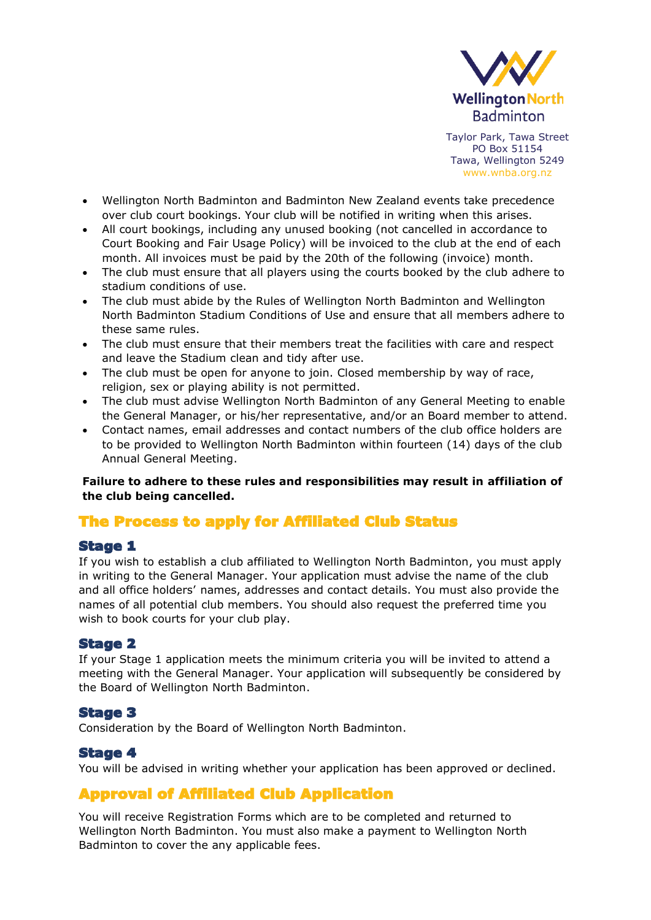

- Wellington North Badminton and Badminton New Zealand events take precedence over club court bookings. Your club will be notified in writing when this arises.
- All court bookings, including any unused booking (not cancelled in accordance to Court Booking and Fair Usage Policy) will be invoiced to the club at the end of each month. All invoices must be paid by the 20th of the following (invoice) month.
- The club must ensure that all players using the courts booked by the club adhere to stadium conditions of use.
- The club must abide by the Rules of Wellington North Badminton and Wellington North Badminton Stadium Conditions of Use and ensure that all members adhere to these same rules.
- The club must ensure that their members treat the facilities with care and respect and leave the Stadium clean and tidy after use.
- The club must be open for anyone to join. Closed membership by way of race, religion, sex or playing ability is not permitted.
- The club must advise Wellington North Badminton of any General Meeting to enable the General Manager, or his/her representative, and/or an Board member to attend.
- Contact names, email addresses and contact numbers of the club office holders are to be provided to Wellington North Badminton within fourteen (14) days of the club Annual General Meeting.

**Failure to adhere to these rules and responsibilities may result in affiliation of the club being cancelled.**

### The Process to apply for Affiliated Club Status

#### Stage 1

If you wish to establish a club affiliated to Wellington North Badminton, you must apply in writing to the General Manager. Your application must advise the name of the club and all office holders' names, addresses and contact details. You must also provide the names of all potential club members. You should also request the preferred time you wish to book courts for your club play.

#### Stage 2

If your Stage 1 application meets the minimum criteria you will be invited to attend a meeting with the General Manager. Your application will subsequently be considered by the Board of Wellington North Badminton.

#### Stage 3

Consideration by the Board of Wellington North Badminton.

#### Stage 4

You will be advised in writing whether your application has been approved or declined.

#### Approval of Affiliated Club Application

You will receive Registration Forms which are to be completed and returned to Wellington North Badminton. You must also make a payment to Wellington North Badminton to cover the any applicable fees.